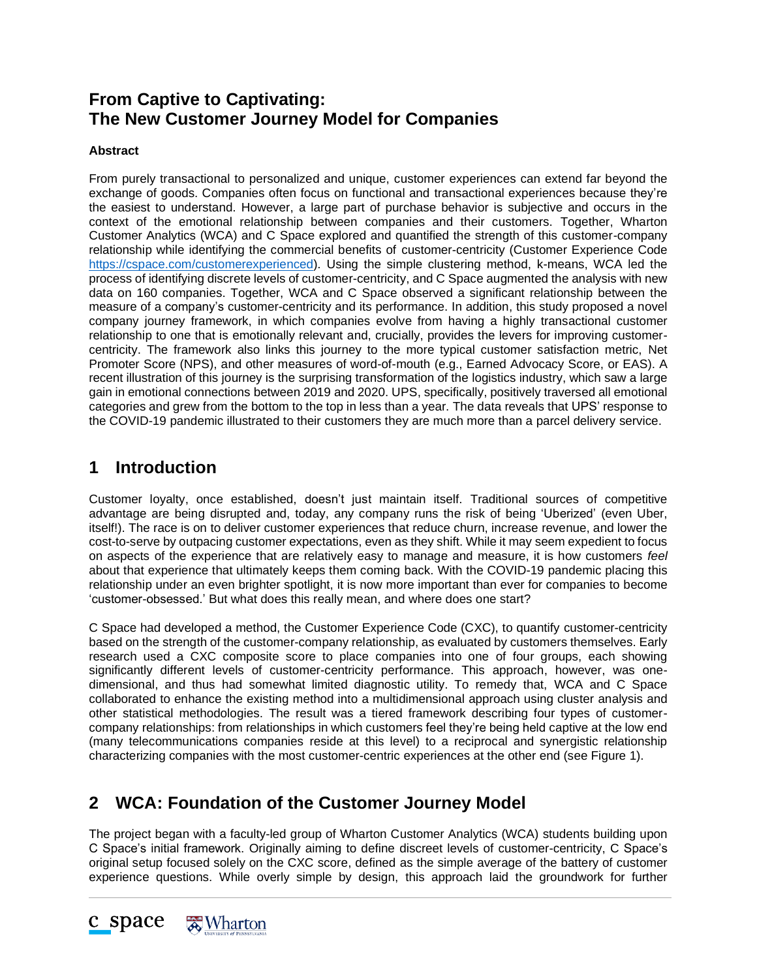## **From Captive to Captivating: The New Customer Journey Model for Companies**

#### **Abstract**

From purely transactional to personalized and unique, customer experiences can extend far beyond the exchange of goods. Companies often focus on functional and transactional experiences because they're the easiest to understand. However, a large part of purchase behavior is subjective and occurs in the context of the emotional relationship between companies and their customers. Together, Wharton Customer Analytics (WCA) and C Space explored and quantified the strength of this customer-company relationship while identifying the commercial benefits of customer-centricity (Customer Experience Code [https://cspace.com/customerexperienced\)](https://cspace.com/customerexperienced). Using the simple clustering method, k-means, WCA led the process of identifying discrete levels of customer-centricity, and C Space augmented the analysis with new data on 160 companies. Together, WCA and C Space observed a significant relationship between the measure of a company's customer-centricity and its performance. In addition, this study proposed a novel company journey framework, in which companies evolve from having a highly transactional customer relationship to one that is emotionally relevant and, crucially, provides the levers for improving customercentricity. The framework also links this journey to the more typical customer satisfaction metric, Net Promoter Score (NPS), and other measures of word-of-mouth (e.g., Earned Advocacy Score, or EAS). A recent illustration of this journey is the surprising transformation of the logistics industry, which saw a large gain in emotional connections between 2019 and 2020. UPS, specifically, positively traversed all emotional categories and grew from the bottom to the top in less than a year. The data reveals that UPS' response to the COVID-19 pandemic illustrated to their customers they are much more than a parcel delivery service.

## **1 Introduction**

Customer loyalty, once established, doesn't just maintain itself. Traditional sources of competitive advantage are being disrupted and, today, any company runs the risk of being 'Uberized' (even Uber, itself!). The race is on to deliver customer experiences that reduce churn, increase revenue, and lower the cost-to-serve by outpacing customer expectations, even as they shift. While it may seem expedient to focus on aspects of the experience that are relatively easy to manage and measure, it is how customers *feel*  about that experience that ultimately keeps them coming back. With the COVID-19 pandemic placing this relationship under an even brighter spotlight, it is now more important than ever for companies to become 'customer-obsessed.' But what does this really mean, and where does one start?

C Space had developed a method, the Customer Experience Code (CXC), to quantify customer-centricity based on the strength of the customer-company relationship, as evaluated by customers themselves. Early research used a CXC composite score to place companies into one of four groups, each showing significantly different levels of customer-centricity performance. This approach, however, was onedimensional, and thus had somewhat limited diagnostic utility. To remedy that, WCA and C Space collaborated to enhance the existing method into a multidimensional approach using cluster analysis and other statistical methodologies. The result was a tiered framework describing four types of customercompany relationships: from relationships in which customers feel they're being held captive at the low end (many telecommunications companies reside at this level) to a reciprocal and synergistic relationship characterizing companies with the most customer-centric experiences at the other end (see Figure 1).

## **2 WCA: Foundation of the Customer Journey Model**

The project began with a faculty-led group of Wharton Customer Analytics (WCA) students building upon C Space's initial framework. Originally aiming to define discreet levels of customer-centricity, C Space's original setup focused solely on the CXC score, defined as the simple average of the battery of customer experience questions. While overly simple by design, this approach laid the groundwork for further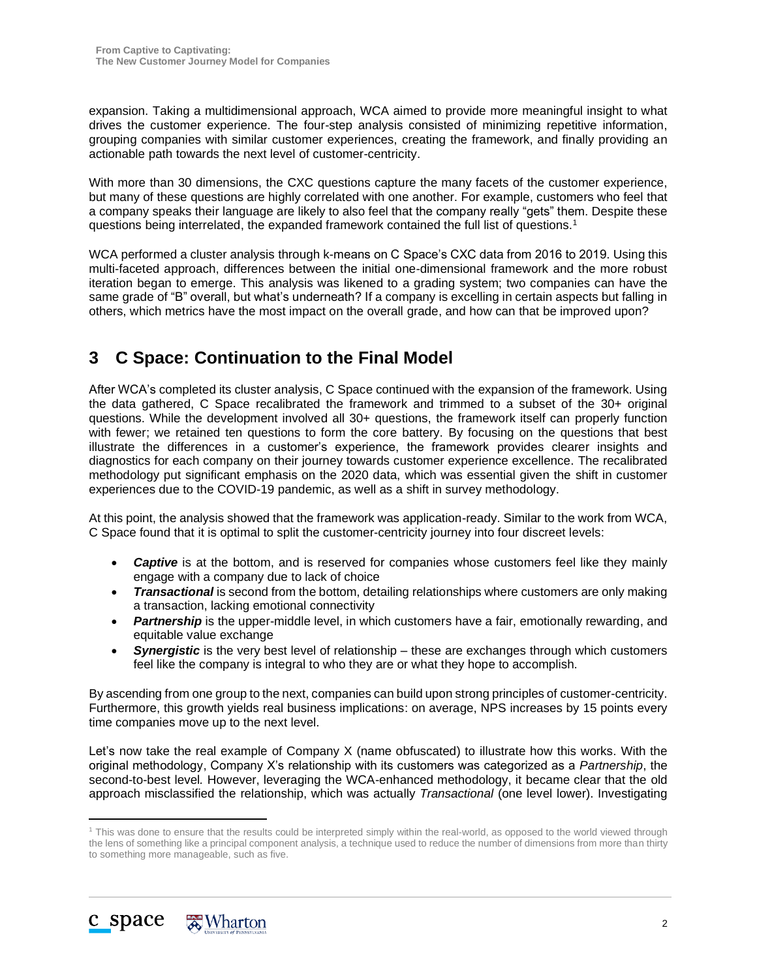expansion. Taking a multidimensional approach, WCA aimed to provide more meaningful insight to what drives the customer experience. The four-step analysis consisted of minimizing repetitive information, grouping companies with similar customer experiences, creating the framework, and finally providing an actionable path towards the next level of customer-centricity.

With more than 30 dimensions, the CXC questions capture the many facets of the customer experience, but many of these questions are highly correlated with one another. For example, customers who feel that a company speaks their language are likely to also feel that the company really "gets" them. Despite these questions being interrelated, the expanded framework contained the full list of questions.<sup>1</sup>

WCA performed a cluster analysis through k-means on C Space's CXC data from 2016 to 2019. Using this multi-faceted approach, differences between the initial one-dimensional framework and the more robust iteration began to emerge. This analysis was likened to a grading system; two companies can have the same grade of "B" overall, but what's underneath? If a company is excelling in certain aspects but falling in others, which metrics have the most impact on the overall grade, and how can that be improved upon?

# **3 C Space: Continuation to the Final Model**

After WCA's completed its cluster analysis, C Space continued with the expansion of the framework. Using the data gathered, C Space recalibrated the framework and trimmed to a subset of the 30+ original questions. While the development involved all 30+ questions, the framework itself can properly function with fewer; we retained ten questions to form the core battery. By focusing on the questions that best illustrate the differences in a customer's experience, the framework provides clearer insights and diagnostics for each company on their journey towards customer experience excellence. The recalibrated methodology put significant emphasis on the 2020 data, which was essential given the shift in customer experiences due to the COVID-19 pandemic, as well as a shift in survey methodology.

At this point, the analysis showed that the framework was application-ready. Similar to the work from WCA, C Space found that it is optimal to split the customer-centricity journey into four discreet levels:

- *Captive* is at the bottom, and is reserved for companies whose customers feel like they mainly engage with a company due to lack of choice
- *Transactional* is second from the bottom, detailing relationships where customers are only making a transaction, lacking emotional connectivity
- **Partnership** is the upper-middle level, in which customers have a fair, emotionally rewarding, and equitable value exchange
- *Synergistic* is the very best level of relationship these are exchanges through which customers feel like the company is integral to who they are or what they hope to accomplish.

By ascending from one groupto the next, companies can build upon strong principles of customer-centricity. Furthermore, this growth yields real business implications: on average, NPS increases by 15 points every time companies move up to the next level.

Let's now take the real example of Company X (name obfuscated) to illustrate how this works. With the original methodology, Company X's relationship with its customers was categorized as a *Partnership*, the second-to-best level*.* However, leveraging the WCA-enhanced methodology, it became clear that the old approach misclassified the relationship, which was actually *Transactional* (one level lower). Investigating

<sup>&</sup>lt;sup>1</sup> This was done to ensure that the results could be interpreted simply within the real-world, as opposed to the world viewed through the lens of something like a principal component analysis, a technique used to reduce the number of dimensions from more than thirty to something more manageable, such as five.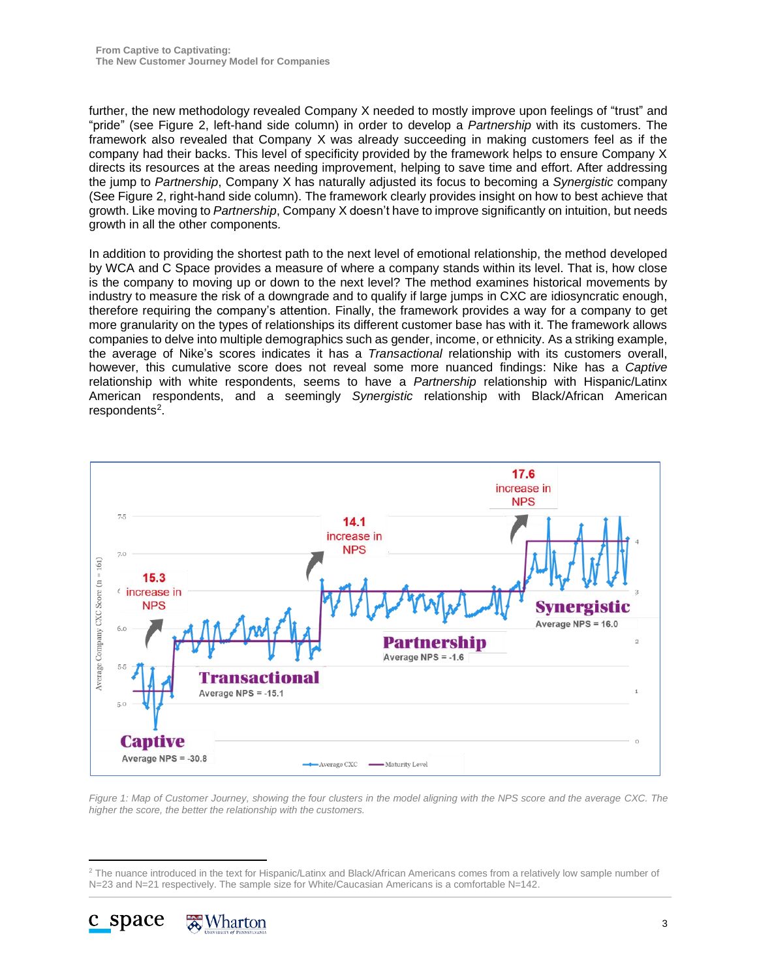further, the new methodology revealed Company X needed to mostly improve upon feelings of "trust" and "pride" (see Figure 2, left-hand side column) in order to develop a *Partnership* with its customers. The framework also revealed that Company X was already succeeding in making customers feel as if the company had their backs. This level of specificity provided by the framework helps to ensure Company X directs its resources at the areas needing improvement, helping to save time and effort. After addressing the jump to *Partnership*, Company X has naturally adjusted its focus to becoming a *Synergistic* company (See Figure 2, right-hand side column). The framework clearly provides insight on how to best achieve that growth. Like moving to *Partnership*, Company X doesn't have to improve significantly on intuition, but needs growth in all the other components*.*

In addition to providing the shortest path to the next level of emotional relationship, the method developed by WCA and C Space provides a measure of where a company stands within its level. That is, how close is the company to moving up or down to the next level? The method examines historical movements by industry to measure the risk of a downgrade and to qualify if large jumps in CXC are idiosyncratic enough, therefore requiring the company's attention. Finally, the framework provides a way for a company to get more granularity on the types of relationships its different customer base has with it. The framework allows companies to delve into multiple demographics such as gender, income, or ethnicity. As a striking example, the average of Nike's scores indicates it has a *Transactional* relationship with its customers overall, however, this cumulative score does not reveal some more nuanced findings: Nike has a *Captive* relationship with white respondents, seems to have a *Partnership* relationship with Hispanic/Latinx American respondents, and a seemingly *Synergistic* relationship with Black/African American respondents<sup>2</sup>.



*Figure 1: Map of Customer Journey, showing the four clusters in the model aligning with the NPS score and the average CXC. The higher the score, the better the relationship with the customers.*

<sup>&</sup>lt;sup>2</sup> The nuance introduced in the text for Hispanic/Latinx and Black/African Americans comes from a relatively low sample number of N=23 and N=21 respectively. The sample size for White/Caucasian Americans is a comfortable N=142.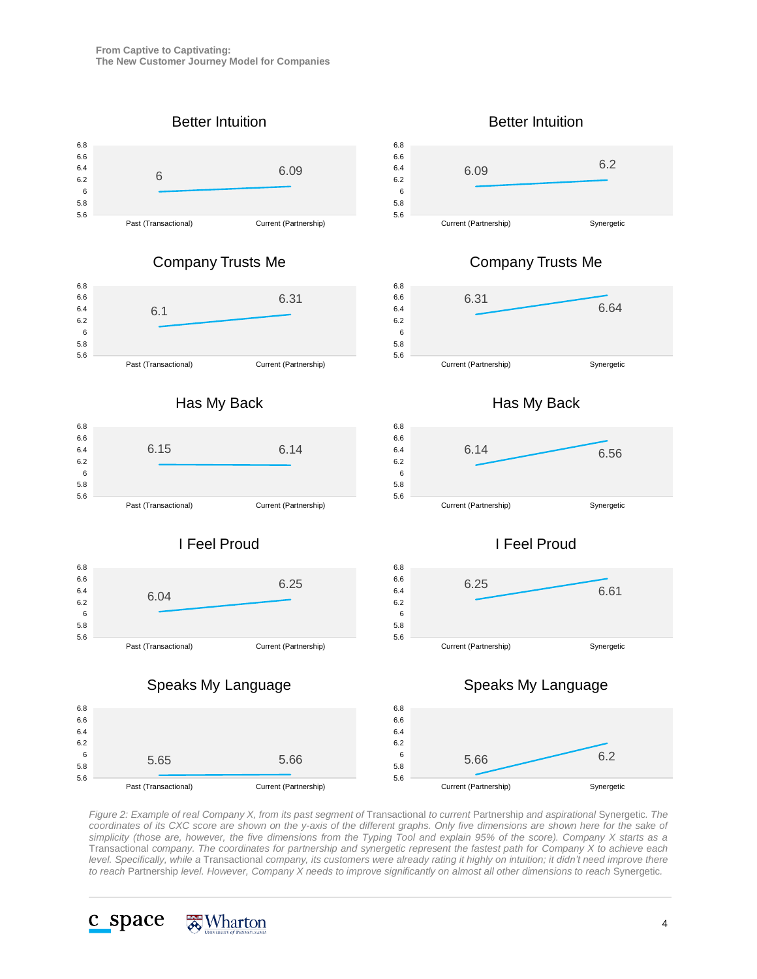



#### Company Trusts Me



### Has My Back



### I Feel Proud



### Speaks My Language



5.6 5.8

6 6.2 6.4 6.6 6.8

Past (Transactional) Current (Partnership)



### Company Trusts Me



Has My Back



### I Feel Proud



### Speaks My Language



*Figure 2: Example of real Company X, from its past segment of* Transactional *to current* Partnership *and aspirational* Synergetic*. The coordinates of its CXC score are shown on the y-axis of the different graphs. Only five dimensions are shown here for the sake of simplicity (those are, however, the five dimensions from the Typing Tool and explain 95% of the score). Company X starts as a*  Transactional *company. The coordinates for partnership and synergetic represent the fastest path for Company X to achieve each level. Specifically, while a* Transactional *company, its customers were already rating it highly on intuition; it didn't need improve there to reach Partnership level. However, Company X needs to improve significantly on almost all other dimensions to reach Synergetic.*